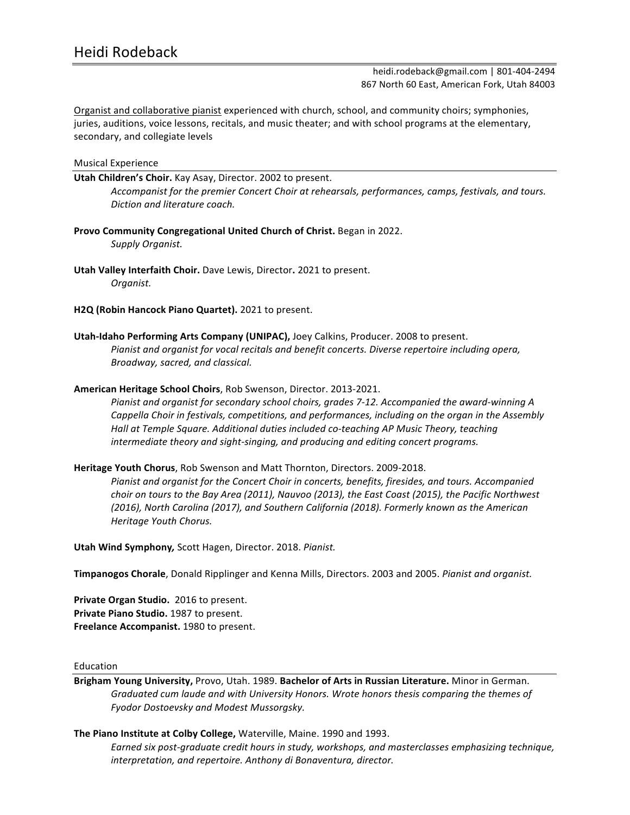heidi.rodeback@gmail.com | 801-404-2494 867 North 60 East, American Fork, Utah 84003

Organist and collaborative pianist experienced with church, school, and community choirs; symphonies, juries, auditions, voice lessons, recitals, and music theater; and with school programs at the elementary, secondary, and collegiate levels

#### Musical Experience

**Utah Children's Choir.** Kay Asay, Director. 2002 to present.

Accompanist for the premier Concert Choir at rehearsals, performances, camps, festivals, and tours. *Diction and literature coach.*

Provo Community Congregational United Church of Christ. Began in 2022. *Supply Organist.*

**Utah Valley Interfaith Choir.** Dave Lewis, Director. 2021 to present. *Organist.*

H2Q (Robin Hancock Piano Quartet). 2021 to present.

**Utah-Idaho Performing Arts Company (UNIPAC),** Joey Calkins, Producer. 2008 to present. Pianist and organist for vocal recitals and benefit concerts. Diverse repertoire including opera, *Broadway, sacred, and classical.*

American Heritage School Choirs, Rob Swenson, Director. 2013-2021.

Pianist and organist for secondary school choirs, grades 7-12. Accompanied the award-winning A Cappella Choir in festivals, competitions, and performances, including on the organ in the Assembly Hall at Temple Square. Additional duties included co-teaching AP Music Theory, teaching *intermediate theory and sight-singing, and producing and editing concert programs.* 

Heritage Youth Chorus, Rob Swenson and Matt Thornton, Directors. 2009-2018.

Pianist and organist for the Concert Choir in concerts, benefits, firesides, and tours. Accompanied *choir* on tours to the Bay Area (2011), Nauvoo (2013), the East Coast (2015), the Pacific Northwest (2016), North Carolina (2017), and Southern California (2018). Formerly known as the American *Heritage Youth Chorus.*

**Utah Wind Symphony, Scott Hagen, Director. 2018. Pianist.** 

**Timpanogos Chorale**, Donald Ripplinger and Kenna Mills, Directors. 2003 and 2005. *Pianist and organist.* 

**Private Organ Studio.** 2016 to present. **Private Piano Studio.** 1987 to present. Freelance Accompanist. 1980 to present.

Education

Brigham Young University, Provo, Utah. 1989. Bachelor of Arts in Russian Literature. Minor in German. Graduated cum laude and with University Honors. Wrote honors thesis comparing the themes of *Fyodor Dostoevsky and Modest Mussorgsky.*

**The Piano Institute at Colby College, Waterville, Maine. 1990 and 1993.** 

*Earned six post-graduate credit hours in study, workshops, and masterclasses emphasizing technique, interpretation, and repertoire. Anthony di Bonaventura, director.*